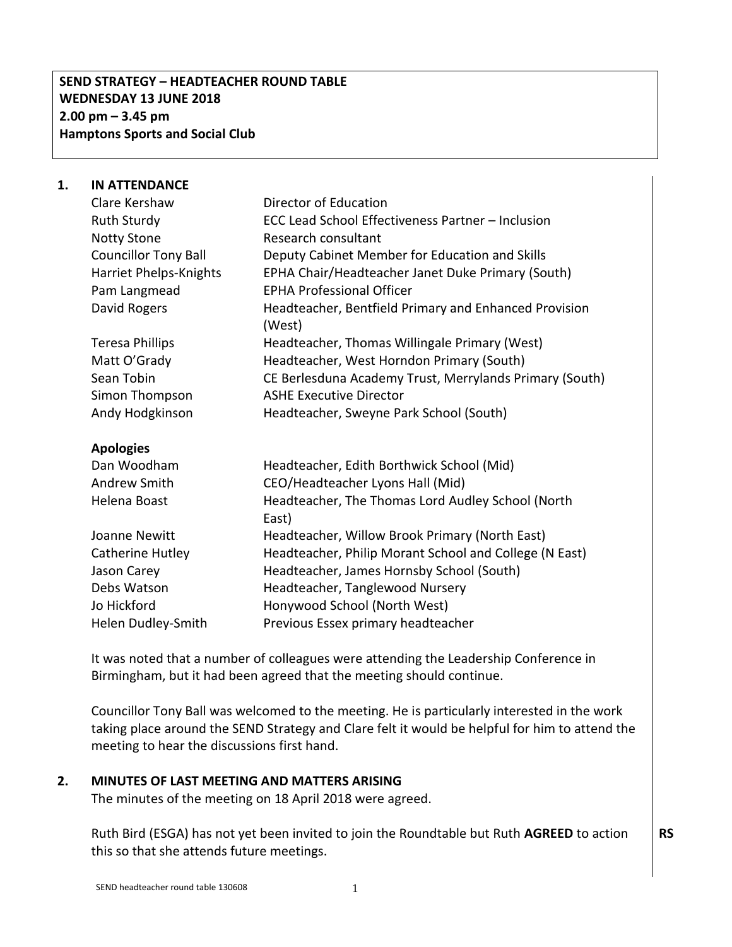# **SEND STRATEGY – HEADTEACHER ROUND TABLE WEDNESDAY 13 JUNE 2018 2.00 pm – 3.45 pm Hamptons Sports and Social Club**

#### **1. IN ATTENDANCE**

| Clare Kershaw               | Director of Education                                           |  |
|-----------------------------|-----------------------------------------------------------------|--|
| <b>Ruth Sturdy</b>          | ECC Lead School Effectiveness Partner - Inclusion               |  |
| <b>Notty Stone</b>          | Research consultant                                             |  |
| <b>Councillor Tony Ball</b> | Deputy Cabinet Member for Education and Skills                  |  |
| Harriet Phelps-Knights      | EPHA Chair/Headteacher Janet Duke Primary (South)               |  |
| Pam Langmead                | <b>EPHA Professional Officer</b>                                |  |
| David Rogers                | Headteacher, Bentfield Primary and Enhanced Provision<br>(West) |  |
| <b>Teresa Phillips</b>      | Headteacher, Thomas Willingale Primary (West)                   |  |
| Matt O'Grady                | Headteacher, West Horndon Primary (South)                       |  |
| Sean Tobin                  | CE Berlesduna Academy Trust, Merrylands Primary (South)         |  |
| Simon Thompson              | <b>ASHE Executive Director</b>                                  |  |
| Andy Hodgkinson             | Headteacher, Sweyne Park School (South)                         |  |
| <b>Apologies</b>            |                                                                 |  |
| Dan Woodham                 | Headteacher, Edith Borthwick School (Mid)                       |  |
| Andrew Smith                | CEO/Headteacher Lyons Hall (Mid)                                |  |
| Helena Boast                | Headteacher, The Thomas Lord Audley School (North<br>East)      |  |
| Joanne Newitt               | Headteacher, Willow Brook Primary (North East)                  |  |
| Catherine Hutley            | Headteacher, Philip Morant School and College (N East)          |  |
| Jason Carey                 | Headteacher, James Hornsby School (South)                       |  |
| Debs Watson                 | Headteacher, Tanglewood Nursery                                 |  |
| Jo Hickford                 | Honywood School (North West)                                    |  |
| Helen Dudley-Smith          | Previous Essex primary headteacher                              |  |

It was noted that a number of colleagues were attending the Leadership Conference in Birmingham, but it had been agreed that the meeting should continue.

Councillor Tony Ball was welcomed to the meeting. He is particularly interested in the work taking place around the SEND Strategy and Clare felt it would be helpful for him to attend the meeting to hear the discussions first hand.

#### **2. MINUTES OF LAST MEETING AND MATTERS ARISING**

The minutes of the meeting on 18 April 2018 were agreed.

Ruth Bird (ESGA) has not yet been invited to join the Roundtable but Ruth **AGREED** to action this so that she attends future meetings.

**RS**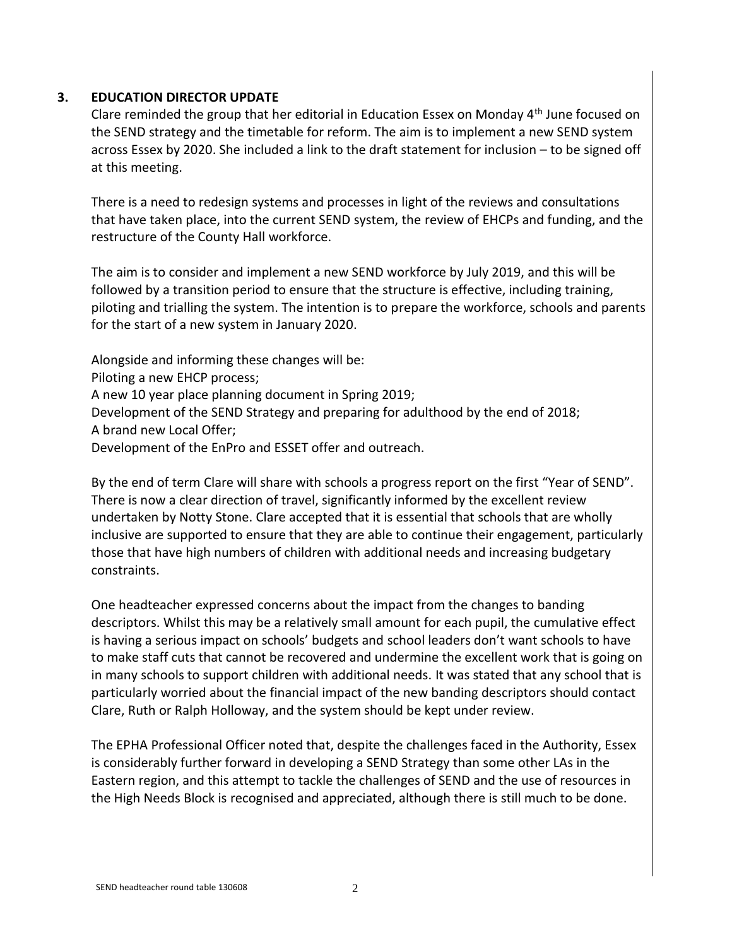#### **3. EDUCATION DIRECTOR UPDATE**

Clare reminded the group that her editorial in Education Essex on Monday 4<sup>th</sup> June focused on the SEND strategy and the timetable for reform. The aim is to implement a new SEND system across Essex by 2020. She included a link to the draft statement for inclusion – to be signed off at this meeting.

There is a need to redesign systems and processes in light of the reviews and consultations that have taken place, into the current SEND system, the review of EHCPs and funding, and the restructure of the County Hall workforce.

The aim is to consider and implement a new SEND workforce by July 2019, and this will be followed by a transition period to ensure that the structure is effective, including training, piloting and trialling the system. The intention is to prepare the workforce, schools and parents for the start of a new system in January 2020.

Alongside and informing these changes will be: Piloting a new EHCP process; A new 10 year place planning document in Spring 2019; Development of the SEND Strategy and preparing for adulthood by the end of 2018; A brand new Local Offer; Development of the EnPro and ESSET offer and outreach.

By the end of term Clare will share with schools a progress report on the first "Year of SEND". There is now a clear direction of travel, significantly informed by the excellent review undertaken by Notty Stone. Clare accepted that it is essential that schools that are wholly inclusive are supported to ensure that they are able to continue their engagement, particularly those that have high numbers of children with additional needs and increasing budgetary constraints.

One headteacher expressed concerns about the impact from the changes to banding descriptors. Whilst this may be a relatively small amount for each pupil, the cumulative effect is having a serious impact on schools' budgets and school leaders don't want schools to have to make staff cuts that cannot be recovered and undermine the excellent work that is going on in many schools to support children with additional needs. It was stated that any school that is particularly worried about the financial impact of the new banding descriptors should contact Clare, Ruth or Ralph Holloway, and the system should be kept under review.

The EPHA Professional Officer noted that, despite the challenges faced in the Authority, Essex is considerably further forward in developing a SEND Strategy than some other LAs in the Eastern region, and this attempt to tackle the challenges of SEND and the use of resources in the High Needs Block is recognised and appreciated, although there is still much to be done.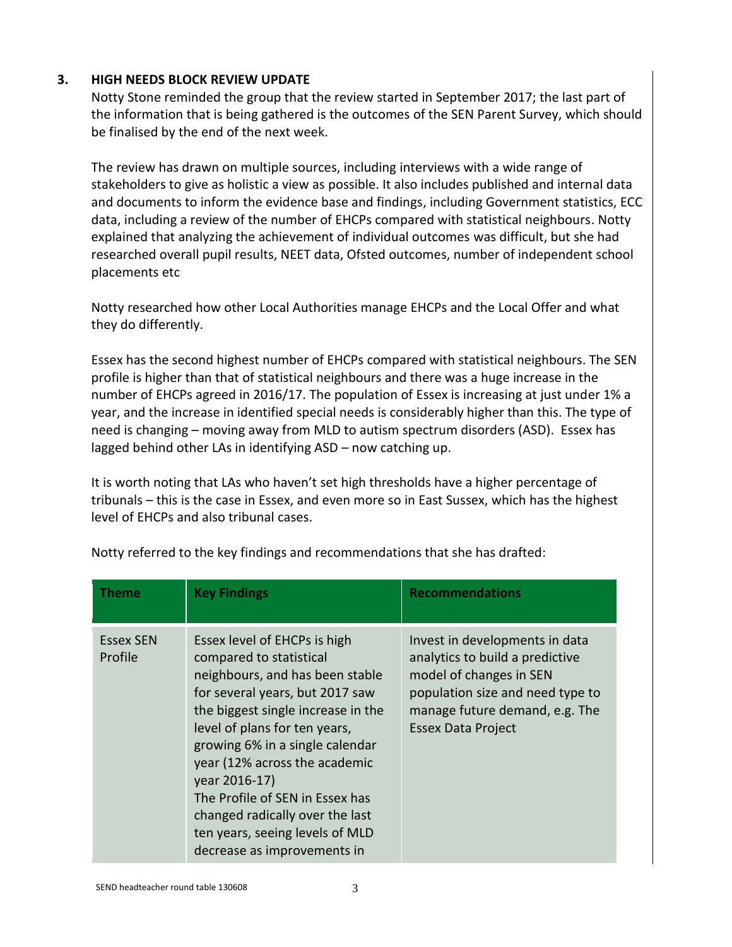# **3. HIGH NEEDS BLOCK REVIEW UPDATE**

Notty Stone reminded the group that the review started in September 2017; the last part of the information that is being gathered is the outcomes of the SEN Parent Survey, which should be finalised by the end of the next week.

The review has drawn on multiple sources, including interviews with a wide range of stakeholders to give as holistic a view as possible. It also includes published and internal data and documents to inform the evidence base and findings, including Government statistics, ECC data, including a review of the number of EHCPs compared with statistical neighbours. Notty explained that analyzing the achievement of individual outcomes was difficult, but she had researched overall pupil results, NEET data, Ofsted outcomes, number of independent school placements etc

Notty researched how other Local Authorities manage EHCPs and the Local Offer and what they do differently.

Essex has the second highest number of EHCPs compared with statistical neighbours. The SEN profile is higher than that of statistical neighbours and there was a huge increase in the number of EHCPs agreed in 2016/17. The population of Essex is increasing at just under 1% a year, and the increase in identified special needs is considerably higher than this. The type of need is changing – moving away from MLD to autism spectrum disorders (ASD). Essex has lagged behind other LAs in identifying ASD – now catching up.

It is worth noting that LAs who haven't set high thresholds have a higher percentage of tribunals – this is the case in Essex, and even more so in East Sussex, which has the highest level of EHCPs and also tribunal cases.

| Theme                       | <b>Key Findings</b>                                                                                                                                                                                                                                                                                                                                                                                                               | <b>Recommendations</b>                                                                                                                                                                          |
|-----------------------------|-----------------------------------------------------------------------------------------------------------------------------------------------------------------------------------------------------------------------------------------------------------------------------------------------------------------------------------------------------------------------------------------------------------------------------------|-------------------------------------------------------------------------------------------------------------------------------------------------------------------------------------------------|
| <b>Essex SEN</b><br>Profile | Essex level of EHCPs is high<br>compared to statistical<br>neighbours, and has been stable<br>for several years, but 2017 saw<br>the biggest single increase in the<br>level of plans for ten years,<br>growing 6% in a single calendar<br>year (12% across the academic<br>year 2016-17)<br>The Profile of SEN in Essex has<br>changed radically over the last<br>ten years, seeing levels of MLD<br>decrease as improvements in | Invest in developments in data<br>analytics to build a predictive<br>model of changes in SEN<br>population size and need type to<br>manage future demand, e.g. The<br><b>Essex Data Project</b> |

Notty referred to the key findings and recommendations that she has drafted: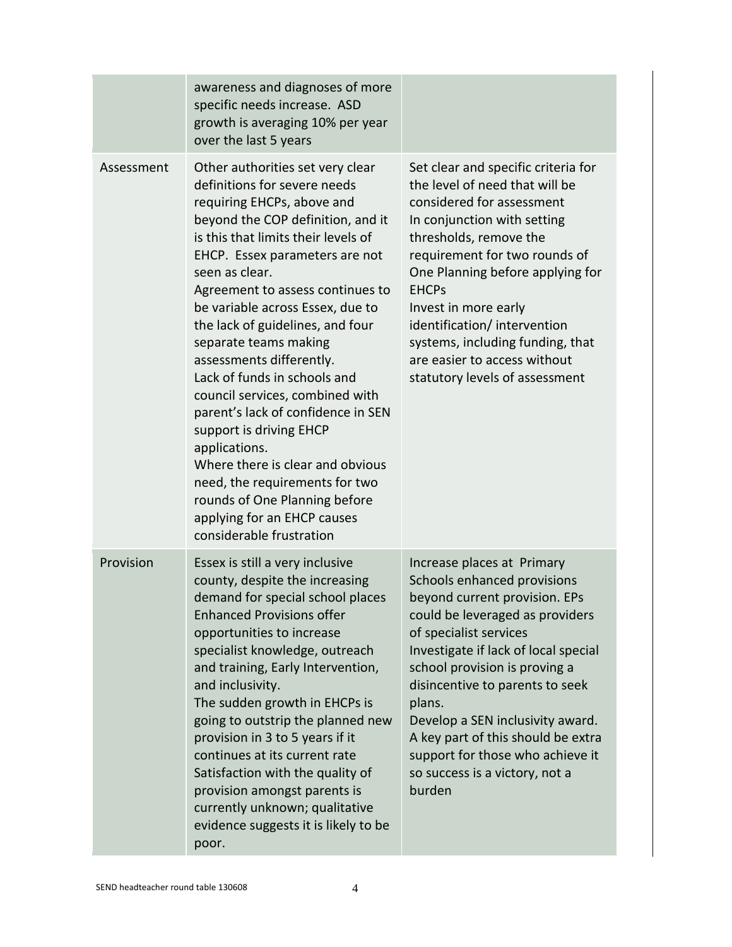|            | awareness and diagnoses of more<br>specific needs increase. ASD<br>growth is averaging 10% per year<br>over the last 5 years                                                                                                                                                                                                                                                                                                                                                                                                                                                                                                                                                                                           |                                                                                                                                                                                                                                                                                                                                                                                                                                         |
|------------|------------------------------------------------------------------------------------------------------------------------------------------------------------------------------------------------------------------------------------------------------------------------------------------------------------------------------------------------------------------------------------------------------------------------------------------------------------------------------------------------------------------------------------------------------------------------------------------------------------------------------------------------------------------------------------------------------------------------|-----------------------------------------------------------------------------------------------------------------------------------------------------------------------------------------------------------------------------------------------------------------------------------------------------------------------------------------------------------------------------------------------------------------------------------------|
| Assessment | Other authorities set very clear<br>definitions for severe needs<br>requiring EHCPs, above and<br>beyond the COP definition, and it<br>is this that limits their levels of<br>EHCP. Essex parameters are not<br>seen as clear.<br>Agreement to assess continues to<br>be variable across Essex, due to<br>the lack of guidelines, and four<br>separate teams making<br>assessments differently.<br>Lack of funds in schools and<br>council services, combined with<br>parent's lack of confidence in SEN<br>support is driving EHCP<br>applications.<br>Where there is clear and obvious<br>need, the requirements for two<br>rounds of One Planning before<br>applying for an EHCP causes<br>considerable frustration | Set clear and specific criteria for<br>the level of need that will be<br>considered for assessment<br>In conjunction with setting<br>thresholds, remove the<br>requirement for two rounds of<br>One Planning before applying for<br><b>EHCPs</b><br>Invest in more early<br>identification/ intervention<br>systems, including funding, that<br>are easier to access without<br>statutory levels of assessment                          |
| Provision  | Essex is still a very inclusive<br>county, despite the increasing<br>demand for special school places<br><b>Enhanced Provisions offer</b><br>opportunities to increase<br>specialist knowledge, outreach<br>and training, Early Intervention,<br>and inclusivity.<br>The sudden growth in EHCPs is<br>going to outstrip the planned new<br>provision in 3 to 5 years if it<br>continues at its current rate<br>Satisfaction with the quality of<br>provision amongst parents is<br>currently unknown; qualitative<br>evidence suggests it is likely to be<br>poor.                                                                                                                                                     | Increase places at Primary<br>Schools enhanced provisions<br>beyond current provision. EPs<br>could be leveraged as providers<br>of specialist services<br>Investigate if lack of local special<br>school provision is proving a<br>disincentive to parents to seek<br>plans.<br>Develop a SEN inclusivity award.<br>A key part of this should be extra<br>support for those who achieve it<br>so success is a victory, not a<br>burden |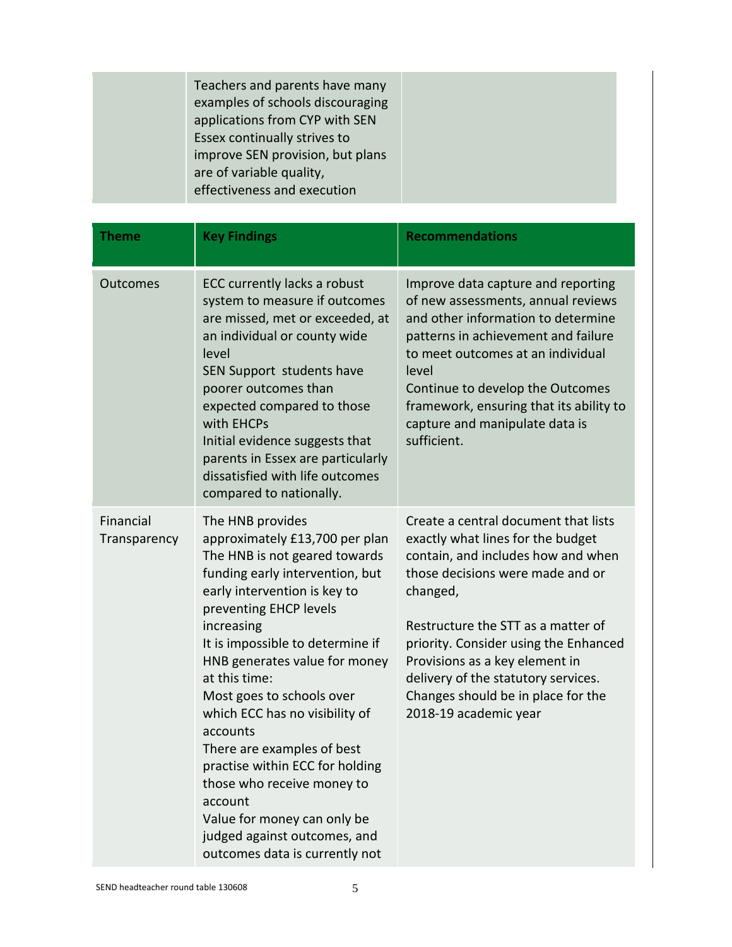| Teachers and parents have many<br>examples of schools discouraging<br>applications from CYP with SEN<br>Essex continually strives to<br>improve SEN provision, but plans<br>are of variable quality,<br>effectiveness and execution |
|-------------------------------------------------------------------------------------------------------------------------------------------------------------------------------------------------------------------------------------|
|-------------------------------------------------------------------------------------------------------------------------------------------------------------------------------------------------------------------------------------|

| <b>Theme</b>              | <b>Key Findings</b>                                                                                                                                                                                                                                                                                                                                                                                                                                                                                                                                                        | <b>Recommendations</b>                                                                                                                                                                                                                                                                                                                                                                 |
|---------------------------|----------------------------------------------------------------------------------------------------------------------------------------------------------------------------------------------------------------------------------------------------------------------------------------------------------------------------------------------------------------------------------------------------------------------------------------------------------------------------------------------------------------------------------------------------------------------------|----------------------------------------------------------------------------------------------------------------------------------------------------------------------------------------------------------------------------------------------------------------------------------------------------------------------------------------------------------------------------------------|
| <b>Outcomes</b>           | ECC currently lacks a robust<br>system to measure if outcomes<br>are missed, met or exceeded, at<br>an individual or county wide<br>level<br>SEN Support students have<br>poorer outcomes than<br>expected compared to those<br>with EHCPs<br>Initial evidence suggests that<br>parents in Essex are particularly<br>dissatisfied with life outcomes<br>compared to nationally.                                                                                                                                                                                            | Improve data capture and reporting<br>of new assessments, annual reviews<br>and other information to determine<br>patterns in achievement and failure<br>to meet outcomes at an individual<br>level<br>Continue to develop the Outcomes<br>framework, ensuring that its ability to<br>capture and manipulate data is<br>sufficient.                                                    |
| Financial<br>Transparency | The HNB provides<br>approximately £13,700 per plan<br>The HNB is not geared towards<br>funding early intervention, but<br>early intervention is key to<br>preventing EHCP levels<br>increasing<br>It is impossible to determine if<br>HNB generates value for money<br>at this time:<br>Most goes to schools over<br>which ECC has no visibility of<br>accounts<br>There are examples of best<br>practise within ECC for holding<br>those who receive money to<br>account<br>Value for money can only be<br>judged against outcomes, and<br>outcomes data is currently not | Create a central document that lists<br>exactly what lines for the budget<br>contain, and includes how and when<br>those decisions were made and or<br>changed,<br>Restructure the STT as a matter of<br>priority. Consider using the Enhanced<br>Provisions as a key element in<br>delivery of the statutory services.<br>Changes should be in place for the<br>2018-19 academic year |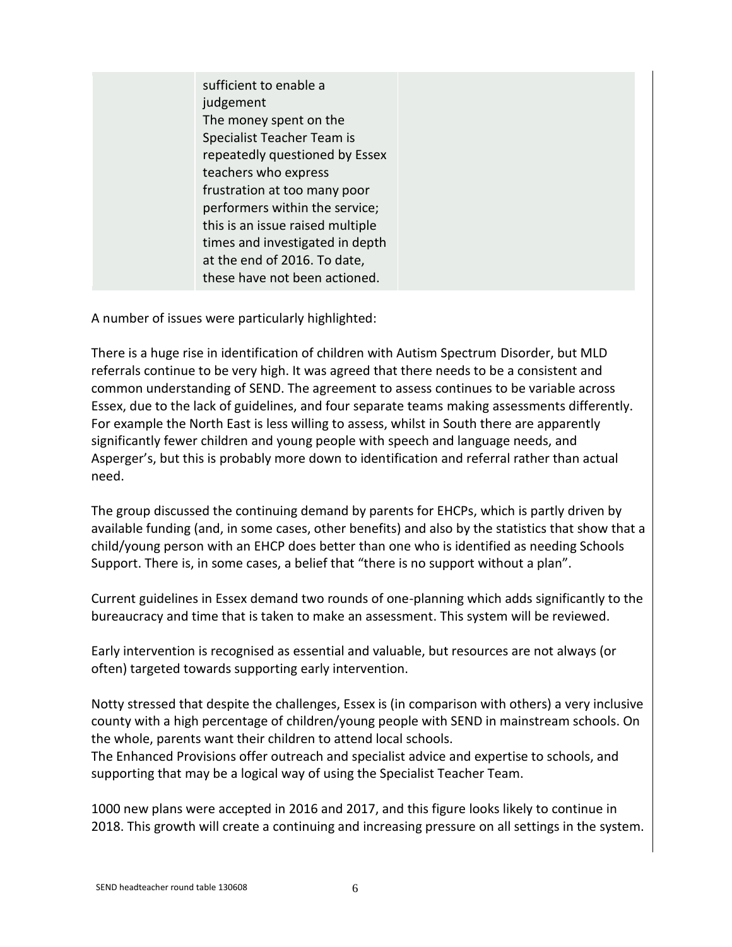sufficient to enable a judgement The money spent on the Specialist Teacher Team is repeatedly questioned by Essex teachers who express frustration at too many poor performers within the service; this is an issue raised multiple times and investigated in depth at the end of 2016. To date, these have not been actioned.

A number of issues were particularly highlighted:

There is a huge rise in identification of children with Autism Spectrum Disorder, but MLD referrals continue to be very high. It was agreed that there needs to be a consistent and common understanding of SEND. The agreement to assess continues to be variable across Essex, due to the lack of guidelines, and four separate teams making assessments differently. For example the North East is less willing to assess, whilst in South there are apparently significantly fewer children and young people with speech and language needs, and Asperger's, but this is probably more down to identification and referral rather than actual need.

The group discussed the continuing demand by parents for EHCPs, which is partly driven by available funding (and, in some cases, other benefits) and also by the statistics that show that a child/young person with an EHCP does better than one who is identified as needing Schools Support. There is, in some cases, a belief that "there is no support without a plan".

Current guidelines in Essex demand two rounds of one-planning which adds significantly to the bureaucracy and time that is taken to make an assessment. This system will be reviewed.

Early intervention is recognised as essential and valuable, but resources are not always (or often) targeted towards supporting early intervention.

Notty stressed that despite the challenges, Essex is (in comparison with others) a very inclusive county with a high percentage of children/young people with SEND in mainstream schools. On the whole, parents want their children to attend local schools.

The Enhanced Provisions offer outreach and specialist advice and expertise to schools, and supporting that may be a logical way of using the Specialist Teacher Team.

1000 new plans were accepted in 2016 and 2017, and this figure looks likely to continue in 2018. This growth will create a continuing and increasing pressure on all settings in the system.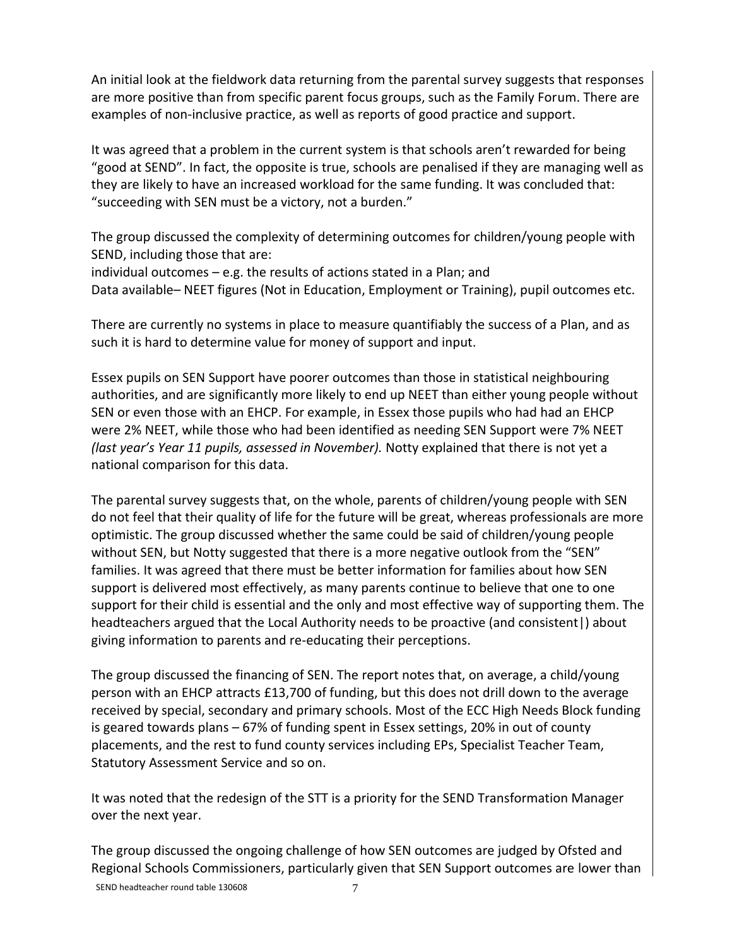An initial look at the fieldwork data returning from the parental survey suggests that responses are more positive than from specific parent focus groups, such as the Family Forum. There are examples of non-inclusive practice, as well as reports of good practice and support.

It was agreed that a problem in the current system is that schools aren't rewarded for being "good at SEND". In fact, the opposite is true, schools are penalised if they are managing well as they are likely to have an increased workload for the same funding. It was concluded that: "succeeding with SEN must be a victory, not a burden."

The group discussed the complexity of determining outcomes for children/young people with SEND, including those that are:

individual outcomes – e.g. the results of actions stated in a Plan; and Data available– NEET figures (Not in Education, Employment or Training), pupil outcomes etc.

There are currently no systems in place to measure quantifiably the success of a Plan, and as such it is hard to determine value for money of support and input.

Essex pupils on SEN Support have poorer outcomes than those in statistical neighbouring authorities, and are significantly more likely to end up NEET than either young people without SEN or even those with an EHCP. For example, in Essex those pupils who had had an EHCP were 2% NEET, while those who had been identified as needing SEN Support were 7% NEET *(last year's Year 11 pupils, assessed in November).* Notty explained that there is not yet a national comparison for this data.

The parental survey suggests that, on the whole, parents of children/young people with SEN do not feel that their quality of life for the future will be great, whereas professionals are more optimistic. The group discussed whether the same could be said of children/young people without SEN, but Notty suggested that there is a more negative outlook from the "SEN" families. It was agreed that there must be better information for families about how SEN support is delivered most effectively, as many parents continue to believe that one to one support for their child is essential and the only and most effective way of supporting them. The headteachers argued that the Local Authority needs to be proactive (and consistent|) about giving information to parents and re-educating their perceptions.

The group discussed the financing of SEN. The report notes that, on average, a child/young person with an EHCP attracts £13,700 of funding, but this does not drill down to the average received by special, secondary and primary schools. Most of the ECC High Needs Block funding is geared towards plans – 67% of funding spent in Essex settings, 20% in out of county placements, and the rest to fund county services including EPs, Specialist Teacher Team, Statutory Assessment Service and so on.

It was noted that the redesign of the STT is a priority for the SEND Transformation Manager over the next year.

The group discussed the ongoing challenge of how SEN outcomes are judged by Ofsted and Regional Schools Commissioners, particularly given that SEN Support outcomes are lower than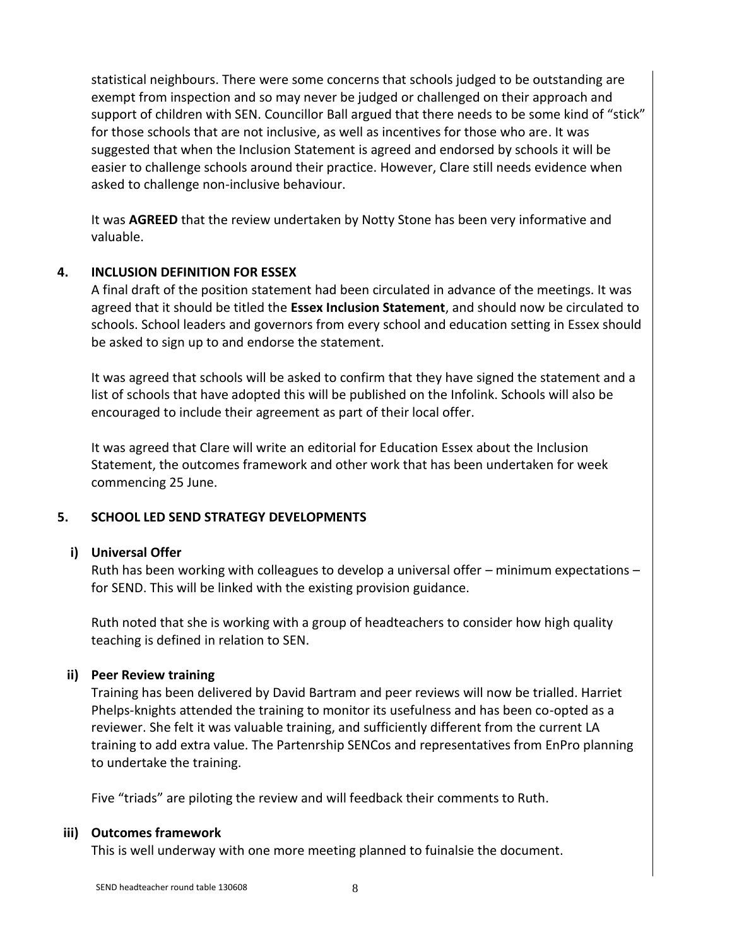statistical neighbours. There were some concerns that schools judged to be outstanding are exempt from inspection and so may never be judged or challenged on their approach and support of children with SEN. Councillor Ball argued that there needs to be some kind of "stick" for those schools that are not inclusive, as well as incentives for those who are. It was suggested that when the Inclusion Statement is agreed and endorsed by schools it will be easier to challenge schools around their practice. However, Clare still needs evidence when asked to challenge non-inclusive behaviour.

It was **AGREED** that the review undertaken by Notty Stone has been very informative and valuable.

## **4. INCLUSION DEFINITION FOR ESSEX**

A final draft of the position statement had been circulated in advance of the meetings. It was agreed that it should be titled the **Essex Inclusion Statement**, and should now be circulated to schools. School leaders and governors from every school and education setting in Essex should be asked to sign up to and endorse the statement.

It was agreed that schools will be asked to confirm that they have signed the statement and a list of schools that have adopted this will be published on the Infolink. Schools will also be encouraged to include their agreement as part of their local offer.

It was agreed that Clare will write an editorial for Education Essex about the Inclusion Statement, the outcomes framework and other work that has been undertaken for week commencing 25 June.

#### **5. SCHOOL LED SEND STRATEGY DEVELOPMENTS**

## **i) Universal Offer**

Ruth has been working with colleagues to develop a universal offer – minimum expectations – for SEND. This will be linked with the existing provision guidance.

Ruth noted that she is working with a group of headteachers to consider how high quality teaching is defined in relation to SEN.

#### **ii) Peer Review training**

Training has been delivered by David Bartram and peer reviews will now be trialled. Harriet Phelps-knights attended the training to monitor its usefulness and has been co-opted as a reviewer. She felt it was valuable training, and sufficiently different from the current LA training to add extra value. The Partenrship SENCos and representatives from EnPro planning to undertake the training.

Five "triads" are piloting the review and will feedback their comments to Ruth.

## **iii) Outcomes framework**

This is well underway with one more meeting planned to fuinalsie the document.